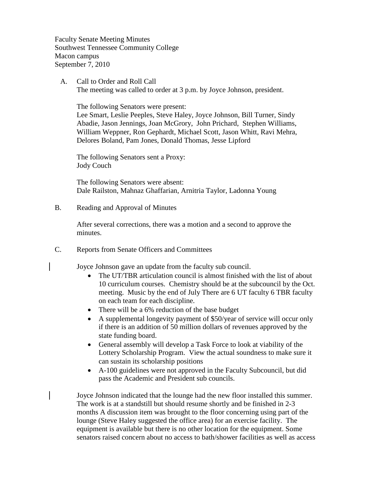Faculty Senate Meeting Minutes Southwest Tennessee Community College Macon campus September 7, 2010

 A. Call to Order and Roll Call The meeting was called to order at 3 p.m. by Joyce Johnson, president.

The following Senators were present:

Lee Smart, Leslie Peeples, Steve Haley, Joyce Johnson, Bill Turner, Sindy Abadie, Jason Jennings, Joan McGrory, John Prichard, Stephen Williams, William Weppner, Ron Gephardt, Michael Scott, Jason Whitt, Ravi Mehra, Delores Boland, Pam Jones, Donald Thomas, Jesse Lipford

The following Senators sent a Proxy: Jody Couch

The following Senators were absent: Dale Railston, Mahnaz Ghaffarian, Arnitria Taylor, Ladonna Young

B. Reading and Approval of Minutes

After several corrections, there was a motion and a second to approve the minutes.

C. Reports from Senate Officers and Committees

Joyce Johnson gave an update from the faculty sub council.

- The UT/TBR articulation council is almost finished with the list of about 10 curriculum courses. Chemistry should be at the subcouncil by the Oct. meeting. Music by the end of July There are 6 UT faculty 6 TBR faculty on each team for each discipline.
- There will be a 6% reduction of the base budget
- A supplemental longevity payment of \$50/year of service will occur only if there is an addition of 50 million dollars of revenues approved by the state funding board.
- General assembly will develop a Task Force to look at viability of the Lottery Scholarship Program. View the actual soundness to make sure it can sustain its scholarship positions
- A-100 guidelines were not approved in the Faculty Subcouncil, but did pass the Academic and President sub councils.

Joyce Johnson indicated that the lounge had the new floor installed this summer. The work is at a standstill but should resume shortly and be finished in 2-3 months A discussion item was brought to the floor concerning using part of the lounge (Steve Haley suggested the office area) for an exercise facility. The equipment is available but there is no other location for the equipment. Some senators raised concern about no access to bath/shower facilities as well as access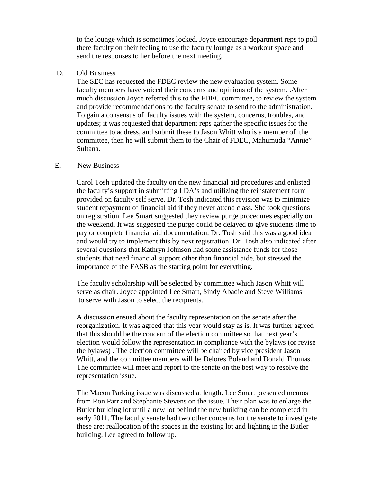to the lounge which is sometimes locked. Joyce encourage department reps to poll there faculty on their feeling to use the faculty lounge as a workout space and send the responses to her before the next meeting.

D. Old Business

The SEC has requested the FDEC review the new evaluation system. Some faculty members have voiced their concerns and opinions of the system. .After much discussion Joyce referred this to the FDEC committee, to review the system and provide recommendations to the faculty senate to send to the administration. To gain a consensus of faculty issues with the system, concerns, troubles, and updates; it was requested that department reps gather the specific issues for the committee to address, and submit these to Jason Whitt who is a member of the committee, then he will submit them to the Chair of FDEC, Mahumuda "Annie" Sultana.

#### E. New Business

Carol Tosh updated the faculty on the new financial aid procedures and enlisted the faculty's support in submitting LDA's and utilizing the reinstatement form provided on faculty self serve. Dr. Tosh indicated this revision was to minimize student repayment of financial aid if they never attend class. She took questions on registration. Lee Smart suggested they review purge procedures especially on the weekend. It was suggested the purge could be delayed to give students time to pay or complete financial aid documentation. Dr. Tosh said this was a good idea and would try to implement this by next registration. Dr. Tosh also indicated after several questions that Kathryn Johnson had some assistance funds for those students that need financial support other than financial aide, but stressed the importance of the FASB as the starting point for everything.

The faculty scholarship will be selected by committee which Jason Whitt will serve as chair. Joyce appointed Lee Smart, Sindy Abadie and Steve Williams to serve with Jason to select the recipients.

A discussion ensued about the faculty representation on the senate after the reorganization. It was agreed that this year would stay as is. It was further agreed that this should be the concern of the election committee so that next year's election would follow the representation in compliance with the bylaws (or revise the bylaws) . The election committee will be chaired by vice president Jason Whitt, and the committee members will be Delores Boland and Donald Thomas. The committee will meet and report to the senate on the best way to resolve the representation issue.

The Macon Parking issue was discussed at length. Lee Smart presented memos from Ron Parr and Stephanie Stevens on the issue. Their plan was to enlarge the Butler building lot until a new lot behind the new building can be completed in early 2011. The faculty senate had two other concerns for the senate to investigate these are: reallocation of the spaces in the existing lot and lighting in the Butler building. Lee agreed to follow up.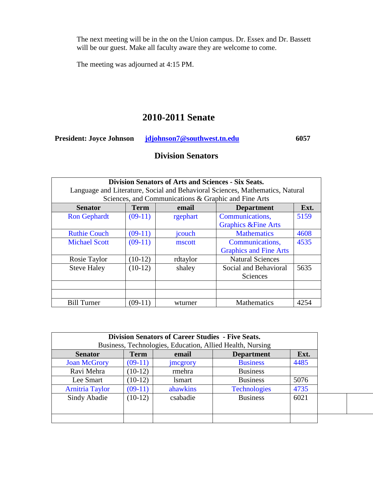The next meeting will be in the on the Union campus. Dr. Essex and Dr. Bassett will be our guest. Make all faculty aware they are welcome to come.

The meeting was adjourned at 4:15 PM.

# **2010-2011 Senate**

**President: Joyce Johnson [jdjohnson7@southwest.tn.edu](mailto:jdjohnson7@southwest.tn.edu) 6057** 

# **Division Senators**

| <b>Division Senators of Arts and Sciences - Six Seats.</b><br>Language and Literature, Social and Behavioral Sciences, Mathematics, Natural |             |          |                                |      |  |
|---------------------------------------------------------------------------------------------------------------------------------------------|-------------|----------|--------------------------------|------|--|
| Sciences, and Communications & Graphic and Fine Arts                                                                                        |             |          |                                |      |  |
| <b>Senator</b>                                                                                                                              | <b>Term</b> | email    | <b>Department</b>              | Ext. |  |
| <b>Ron Gephardt</b>                                                                                                                         | $(09-11)$   | rgephart | Communications,                | 5159 |  |
|                                                                                                                                             |             |          | <b>Graphics &amp;Fine Arts</b> |      |  |
| <b>Ruthie Couch</b>                                                                                                                         | $(09-11)$   | jcouch   | <b>Mathematics</b>             | 4608 |  |
| <b>Michael Scott</b>                                                                                                                        | $(09-11)$   | mscott   | Communications,                | 4535 |  |
|                                                                                                                                             |             |          | <b>Graphics and Fine Arts</b>  |      |  |
| Rosie Taylor                                                                                                                                | $(10-12)$   | rdtaylor | <b>Natural Sciences</b>        |      |  |
| <b>Steve Haley</b>                                                                                                                          | $(10-12)$   | shaley   | Social and Behavioral          | 5635 |  |
|                                                                                                                                             |             |          | Sciences                       |      |  |
|                                                                                                                                             |             |          |                                |      |  |
|                                                                                                                                             |             |          |                                |      |  |
| <b>Bill Turner</b>                                                                                                                          | $(09-11)$   | wturner  | <b>Mathematics</b>             | 4254 |  |

|                        |             | <b>Division Senators of Career Studies - Five Seats.</b> |                                                           |      |
|------------------------|-------------|----------------------------------------------------------|-----------------------------------------------------------|------|
|                        |             |                                                          | Business, Technologies, Education, Allied Health, Nursing |      |
| <b>Senator</b>         | <b>Term</b> | email                                                    | <b>Department</b>                                         | Ext. |
| <b>Joan McGrory</b>    | $(09-11)$   | <i>imcgrory</i>                                          | <b>Business</b>                                           | 4485 |
| Ravi Mehra             | $(10-12)$   | rmehra                                                   | <b>Business</b>                                           |      |
| Lee Smart              | $(10-12)$   | <i>lsmart</i>                                            | <b>Business</b>                                           | 5076 |
| <b>Arnitria Taylor</b> | $(09-11)$   | ahawkins                                                 | <b>Technologies</b>                                       | 4735 |
| Sindy Abadie           | $(10-12)$   | csabadie                                                 | <b>Business</b>                                           | 6021 |
|                        |             |                                                          |                                                           |      |
|                        |             |                                                          |                                                           |      |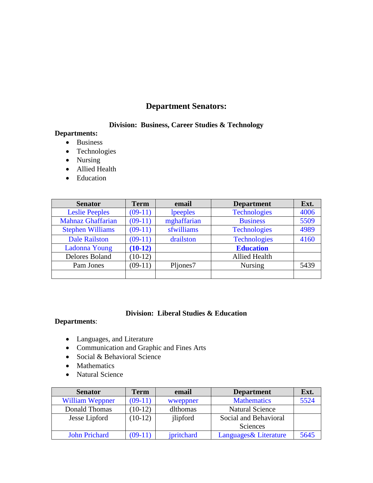# **Department Senators:**

## **Division: Business, Career Studies & Technology**

### **Departments:**

- Business
- Technologies
- Nursing
- Allied Health
- Education

| <b>Senator</b>           | <b>Term</b> | email       | <b>Department</b>    | Ext. |
|--------------------------|-------------|-------------|----------------------|------|
| <b>Leslie Peeples</b>    | $(09-11)$   | lpeeples    | <b>Technologies</b>  | 4006 |
| <b>Mahnaz Ghaffarian</b> | $(09-11)$   | mghaffarian | <b>Business</b>      | 5509 |
| <b>Stephen Williams</b>  | $(09-11)$   | sfwilliams  | <b>Technologies</b>  | 4989 |
| <b>Dale Railston</b>     | $(09-11)$   | drailston   | <b>Technologies</b>  | 4160 |
| <b>Ladonna Young</b>     | $(10-12)$   |             | <b>Education</b>     |      |
| Delores Boland           | $(10-12)$   |             | <b>Allied Health</b> |      |
| Pam Jones                | $(09-11)$   | Pljones7    | <b>Nursing</b>       | 5439 |
|                          |             |             |                      |      |

### **Division: Liberal Studies & Education**

### **Departments**:

- Languages, and Literature
- Communication and Graphic and Fines Arts
- Social & Behavioral Science
- Mathematics
- Natural Science

| <b>Senator</b>         | <b>Term</b> | email      | <b>Department</b>      | Ext. |
|------------------------|-------------|------------|------------------------|------|
| <b>William Weppner</b> | $(09-11)$   | wweppner   | <b>Mathematics</b>     | 5524 |
| Donald Thomas          | $10-12)$    | dlthomas   | <b>Natural Science</b> |      |
| Jesse Lipford          | $(10-12)$   | jlipford   | Social and Behavioral  |      |
|                        |             |            | Sciences               |      |
| <b>John Prichard</b>   | $(09-11)$   | jpritchard | Languages & Literature | 5645 |